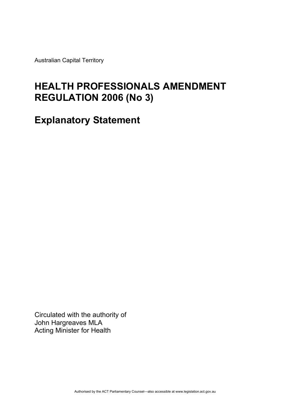Australian Capital Territory

# **HEALTH PROFESSIONALS AMENDMENT REGULATION 2006 (No 3)**

**Explanatory Statement** 

Circulated with the authority of John Hargreaves MLA Acting Minister for Health